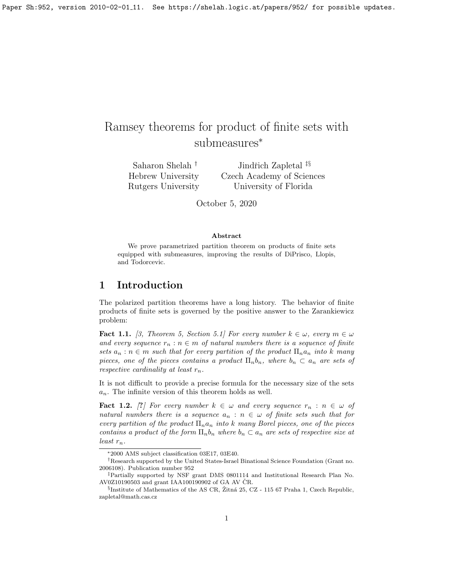# Ramsey theorems for product of finite sets with submeasures<sup>∗</sup>

Saharon Shelah † Hebrew University Rutgers University Jindřich Zapletal <sup>‡§</sup> Czech Academy of Sciences University of Florida

October 5, 2020

#### Abstract

We prove parametrized partition theorem on products of finite sets equipped with submeasures, improving the results of DiPrisco, Llopis, and Todorcevic.

# 1 Introduction

The polarized partition theorems have a long history. The behavior of finite products of finite sets is governed by the positive answer to the Zarankiewicz problem:

**Fact 1.1.** [\[3,](#page-16-0) Theorem 5, Section 5.1] For every number  $k \in \omega$ , every  $m \in \omega$ and every sequence  $r_n : n \in m$  of natural numbers there is a sequence of finite sets  $a_n : n \in \mathbb{m}$  such that for every partition of the product  $\prod_n a_n$  into k many pieces, one of the pieces contains a product  $\Pi_n b_n$ , where  $b_n \subset a_n$  are sets of respective cardinality at least  $r_n$ .

It is not difficult to provide a precise formula for the necessary size of the sets  $a_n$ . The infinite version of this theorem holds as well.

**Fact 1.2.** [?] For every number  $k \in \omega$  and every sequence  $r_n : n \in \omega$  of natural numbers there is a sequence  $a_n : n \in \omega$  of finite sets such that for every partition of the product  $\Pi_n a_n$  into k many Borel pieces, one of the pieces contains a product of the form  $\Pi_n b_n$  where  $b_n \subset a_n$  are sets of respective size at least  $r_n$ .

<sup>∗</sup>2000 AMS subject classification 03E17, 03E40.

<sup>†</sup>Research supported by the United States-Israel Binational Science Foundation (Grant no. 2006108). Publication number 952

<sup>‡</sup>Partially supported by NSF grant DMS 0801114 and Institutional Research Plan No. AV0Z10190503 and grant IAA100190902 of GA AV ČR.

 $\S$ Institute of Mathematics of the AS CR, Žitná 25, CZ - 115 67 Praha 1, Czech Republic, zapletal@math.cas.cz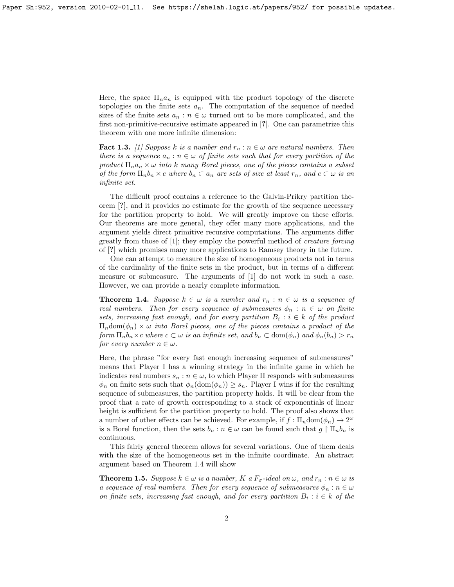Here, the space  $\Pi_n a_n$  is equipped with the product topology of the discrete topologies on the finite sets  $a_n$ . The computation of the sequence of needed sizes of the finite sets  $a_n : n \in \omega$  turned out to be more complicated, and the first non-primitive-recursive estimate appeared in [?]. One can parametrize this theorem with one more infinite dimension:

<span id="page-1-1"></span>**Fact 1.3.** [\[1\]](#page-16-1) Suppose k is a number and  $r_n : n \in \omega$  are natural numbers. Then there is a sequence  $a_n : n \in \omega$  of finite sets such that for every partition of the product  $\Pi_n a_n \times \omega$  into k many Borel pieces, one of the pieces contains a subset of the form  $\Pi_n b_n \times c$  where  $b_n \subset a_n$  are sets of size at least  $r_n$ , and  $c \subset \omega$  is an infinite set.

The difficult proof contains a reference to the Galvin-Prikry partition theorem [?], and it provides no estimate for the growth of the sequence necessary for the partition property to hold. We will greatly improve on these efforts. Our theorems are more general, they offer many more applications, and the argument yields direct primitive recursive computations. The arguments differ greatly from those of [\[1\]](#page-16-1); they employ the powerful method of creature forcing of [?] which promises many more applications to Ramsey theory in the future.

One can attempt to measure the size of homogeneous products not in terms of the cardinality of the finite sets in the product, but in terms of a different measure or submeasure. The arguments of [\[1\]](#page-16-1) do not work in such a case. However, we can provide a nearly complete information.

<span id="page-1-0"></span>**Theorem 1.4.** Suppose  $k \in \omega$  is a number and  $r_n : n \in \omega$  is a sequence of real numbers. Then for every sequence of submeasures  $\phi_n : n \in \omega$  on finite sets, increasing fast enough, and for every partition  $B_i : i \in k$  of the product  $\Pi_n$ dom $(\phi_n) \times \omega$  into Borel pieces, one of the pieces contains a product of the form  $\Pi_n b_n \times c$  where  $c \subset \omega$  is an infinite set, and  $b_n \subset \text{dom}(\phi_n)$  and  $\phi_n(b_n) > r_n$ for every number  $n \in \omega$ .

Here, the phrase "for every fast enough increasing sequence of submeasures" means that Player I has a winning strategy in the infinite game in which he indicates real numbers  $s_n : n \in \omega$ , to which Player II responds with submeasures  $\phi_n$  on finite sets such that  $\phi_n(\text{dom}(\phi_n)) \geq s_n$ . Player I wins if for the resulting sequence of submeasures, the partition property holds. It will be clear from the proof that a rate of growth corresponding to a stack of exponentials of linear height is sufficient for the partition property to hold. The proof also shows that a number of other effects can be achieved. For example, if  $f: \Pi_n \text{dom}(\phi_n) \to 2^{\omega}$ is a Borel function, then the sets  $b_n : n \in \omega$  can be found such that  $g \restriction \Pi_n b_n$  is continuous.

This fairly general theorem allows for several variations. One of them deals with the size of the homogeneous set in the infinite coordinate. An abstract argument based on Theorem [1.4](#page-1-0) will show

<span id="page-1-2"></span>**Theorem 1.5.** Suppose  $k \in \omega$  is a number, K a  $F_{\sigma}$ -ideal on  $\omega$ , and  $r_n : n \in \omega$  is a sequence of real numbers. Then for every sequence of submeasures  $\phi_n : n \in \omega$ on finite sets, increasing fast enough, and for every partition  $B_i : i \in k$  of the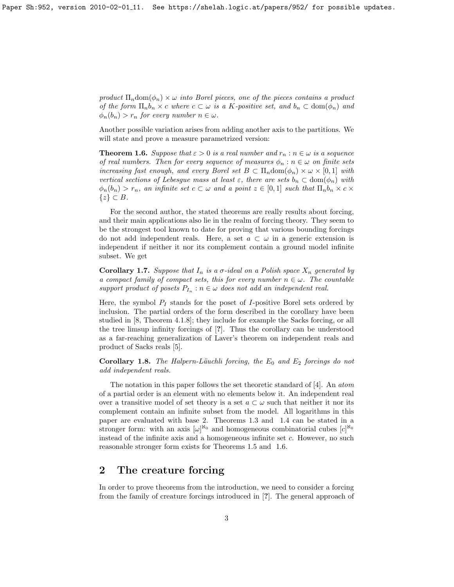product  $\Pi_n$ dom $(\phi_n) \times \omega$  into Borel pieces, one of the pieces contains a product of the form  $\Pi_n b_n \times c$  where  $c \subset \omega$  is a K-positive set, and  $b_n \subset \text{dom}(\phi_n)$  and  $\phi_n(b_n) > r_n$  for every number  $n \in \omega$ .

Another possible variation arises from adding another axis to the partitions. We will state and prove a measure parametrized version:

<span id="page-2-0"></span>**Theorem 1.6.** Suppose that  $\varepsilon > 0$  is a real number and  $r_n : n \in \omega$  is a sequence of real numbers. Then for every sequence of measures  $\phi_n : n \in \omega$  on finite sets increasing fast enough, and every Borel set  $B \subset \Pi_n \text{dom}(\phi_n) \times \omega \times [0,1]$  with vertical sections of Lebesgue mass at least  $\varepsilon$ , there are sets  $b_n \subset \text{dom}(\phi_n)$  with  $\phi_n(b_n) > r_n$ , an infinite set  $c \subset \omega$  and a point  $z \in [0,1]$  such that  $\Pi_n b_n \times c \times$  $\{z\} \subset B$ .

For the second author, the stated theorems are really results about forcing, and their main applications also lie in the realm of forcing theory. They seem to be the strongest tool known to date for proving that various bounding forcings do not add independent reals. Here, a set  $a \subset \omega$  in a generic extension is independent if neither it nor its complement contain a ground model infinite subset. We get

**Corollary 1.7.** Suppose that  $I_n$  is a  $\sigma$ -ideal on a Polish space  $X_n$  generated by a compact family of compact sets, this for every number  $n \in \omega$ . The countable support product of posets  $P_{I_n}$ :  $n \in \omega$  does not add an independent real.

Here, the symbol  $P_I$  stands for the poset of I-positive Borel sets ordered by inclusion. The partial orders of the form described in the corollary have been studied in [\[8,](#page-16-2) Theorem 4.1.8]; they include for example the Sacks forcing, or all the tree limsup infinity forcings of [?]. Thus the corollary can be understood as a far-reaching generalization of Laver's theorem on independent reals and product of Sacks reals [\[5\]](#page-16-3).

**Corollary 1.8.** The Halpern-Läuchli forcing, the  $E_0$  and  $E_2$  forcings do not add independent reals.

The notation in this paper follows the set theoretic standard of [\[4\]](#page-16-4). An atom of a partial order is an element with no elements below it. An independent real over a transitive model of set theory is a set  $a \subset \omega$  such that neither it nor its complement contain an infinite subset from the model. All logarithms in this paper are evaluated with base 2. Theorems [1.3](#page-1-1) and [1.4](#page-1-0) can be stated in a stronger form: with an axis  $[\omega]^{\aleph_0}$  and homogeneous combinatorial cubes  $[c]^{\aleph_0}$ instead of the infinite axis and a homogeneous infinite set c. However, no such reasonable stronger form exists for Theorems [1.5](#page-1-2) and [1.6.](#page-2-0)

# 2 The creature forcing

In order to prove theorems from the introduction, we need to consider a forcing from the family of creature forcings introduced in [?]. The general approach of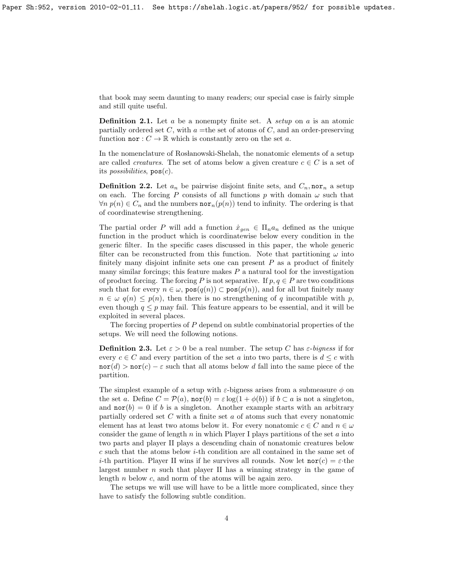that book may seem daunting to many readers; our special case is fairly simple and still quite useful.

**Definition 2.1.** Let a be a nonempty finite set. A setup on a is an atomic partially ordered set  $C$ , with  $a =$ the set of atoms of  $C$ , and an order-preserving function nor :  $C \to \mathbb{R}$  which is constantly zero on the set a.

In the nomenclature of Rosłanowski-Shelah, the nonatomic elements of a setup are called *creatures*. The set of atoms below a given creature  $c \in C$  is a set of its *possibilities*,  $pos(c)$ .

**Definition 2.2.** Let  $a_n$  be pairwise disjoint finite sets, and  $C_n$ , nor<sub>n</sub> a setup on each. The forcing P consists of all functions p with domain  $\omega$  such that  $\forall n \ p(n) \in C_n$  and the numbers **nor**<sub>n</sub> $(p(n))$  tend to infinity. The ordering is that of coordinatewise strengthening.

The partial order P will add a function  $\dot{x}_{gen} \in \Pi_n a_n$  defined as the unique function in the product which is coordinatewise below every condition in the generic filter. In the specific cases discussed in this paper, the whole generic filter can be reconstructed from this function. Note that partitioning  $\omega$  into finitely many disjoint infinite sets one can present  $P$  as a product of finitely many similar forcings; this feature makes  $P$  a natural tool for the investigation of product forcing. The forcing P is not separative. If  $p, q \in P$  are two conditions such that for every  $n \in \omega$ ,  $pos(q(n)) \subset pos(p(n))$ , and for all but finitely many  $n \in \omega$   $q(n) \leq p(n)$ , then there is no strengthening of q incompatible with p, even though  $q \leq p$  may fail. This feature appears to be essential, and it will be exploited in several places.

The forcing properties of P depend on subtle combinatorial properties of the setups. We will need the following notions.

**Definition 2.3.** Let  $\varepsilon > 0$  be a real number. The setup C has  $\varepsilon$ -bigness if for every  $c \in C$  and every partition of the set a into two parts, there is  $d \leq c$  with  $\operatorname{nor}(d) > \operatorname{nor}(c) - \varepsilon$  such that all atoms below d fall into the same piece of the partition.

The simplest example of a setup with  $\varepsilon$ -bigness arises from a submeasure  $\phi$  on the set a. Define  $C = \mathcal{P}(a)$ ,  $\text{nor}(b) = \varepsilon \log(1 + \phi(b))$  if  $b \subset a$  is not a singleton, and  $\text{nor}(b) = 0$  if b is a singleton. Another example starts with an arbitrary partially ordered set C with a finite set a of atoms such that every nonatomic element has at least two atoms below it. For every nonatomic  $c \in C$  and  $n \in \omega$ consider the game of length n in which Player I plays partitions of the set a into two parts and player II plays a descending chain of nonatomic creatures below c such that the atoms below i-th condition are all contained in the same set of *i*-th partition. Player II wins if he survives all rounds. Now let  $\text{nor}(c) = \varepsilon$  the largest number  $n$  such that player II has a winning strategy in the game of length n below c, and norm of the atoms will be again zero.

The setups we will use will have to be a little more complicated, since they have to satisfy the following subtle condition.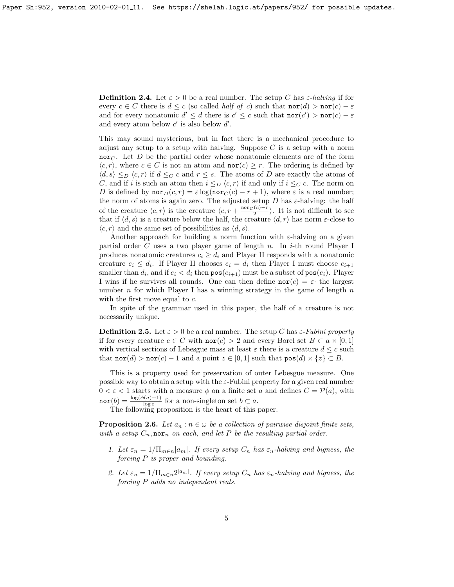**Definition 2.4.** Let  $\varepsilon > 0$  be a real number. The setup C has  $\varepsilon$ -halving if for every  $c \in C$  there is  $d \leq c$  (so called *half of c*) such that  $\text{nor}(d) > \text{nor}(c) - \varepsilon$ and for every nonatomic  $d' \leq d$  there is  $c' \leq c$  such that  $\text{nor}(c') > \text{nor}(c) - \varepsilon$ and every atom below  $c'$  is also below  $d'$ .

This may sound mysterious, but in fact there is a mechanical procedure to adjust any setup to a setup with halving. Suppose  $C$  is a setup with a norm nor<sub>C</sub>. Let D be the partial order whose nonatomic elements are of the form  $\langle c, r \rangle$ , where  $c \in C$  is not an atom and  $\textbf{nor}(c) \geq r$ . The ordering is defined by  $\langle d, s \rangle \leq_D \langle c, r \rangle$  if  $d \leq_C c$  and  $r \leq s$ . The atoms of D are exactly the atoms of C, and if i is such an atom then  $i \leq_D \langle c, r \rangle$  if and only if  $i \leq_C c$ . The norm on D is defined by  $\text{nor}_D(c, r) = \varepsilon \log(\text{nor}_C(c) - r + 1)$ , where  $\varepsilon$  is a real number; the norm of atoms is again zero. The adjusted setup D has  $\varepsilon$ -halving: the half of the creature  $\langle c, r \rangle$  is the creature  $\langle c, r + \frac{\text{nor}_C (c) - r}{2} \rangle$ . It is not difficult to see that if  $\langle d, s \rangle$  is a creature below the half, the creature  $\langle d, r \rangle$  has norm  $\varepsilon$ -close to  $\langle c, r \rangle$  and the same set of possibilities as  $\langle d, s \rangle$ .

Another approach for building a norm function with  $\varepsilon$ -halving on a given partial order C uses a two player game of length n. In i-th round Player I produces nonatomic creatures  $c_i \geq d_i$  and Player II responds with a nonatomic creature  $e_i \leq d_i$ . If Player II chooses  $e_i = d_i$  then Player I must choose  $c_{i+1}$ smaller than  $d_i$ , and if  $e_i < d_i$  then  $\mathsf{pos}(c_{i+1})$  must be a subset of  $\mathsf{pos}(e_i)$ . Player I wins if he survives all rounds. One can then define  $\text{nor}(c) = \varepsilon$  the largest number  $n$  for which Player I has a winning strategy in the game of length  $n$ with the first move equal to c.

In spite of the grammar used in this paper, the half of a creature is not necessarily unique.

**Definition 2.5.** Let  $\varepsilon > 0$  be a real number. The setup C has  $\varepsilon$ -Fubini property if for every creature  $c \in C$  with  $\text{nor}(c) > 2$  and every Borel set  $B \subset a \times [0,1]$ with vertical sections of Lebesgue mass at least  $\varepsilon$  there is a creature  $d \leq c$  such that  $\text{nor}(d) > \text{nor}(c) - 1$  and a point  $z \in [0,1]$  such that  $\text{pos}(d) \times \{z\} \subset B$ .

This is a property used for preservation of outer Lebesgue measure. One possible way to obtain a setup with the  $\varepsilon$ -Fubini property for a given real number  $0 < \varepsilon < 1$  starts with a measure  $\phi$  on a finite set a and defines  $C = \mathcal{P}(a)$ , with  $\texttt{nor}(b) = \frac{\log(\phi(a)+1)}{-\log \varepsilon}$  for a non-singleton set  $b \subset a$ .

The following proposition is the heart of this paper.

<span id="page-4-0"></span>**Proposition 2.6.** Let  $a_n : n \in \omega$  be a collection of pairwise disjoint finite sets, with a setup  $C_n$ , nor<sub>n</sub> on each, and let P be the resulting partial order.

- 1. Let  $\varepsilon_n = 1/\prod_{m \in n} |a_m|$ . If every setup  $C_n$  has  $\varepsilon_n$ -halving and bigness, the forcing P is proper and bounding.
- 2. Let  $\varepsilon_n = 1/\prod_{m \in n} 2^{|a_m|}$ . If every setup  $C_n$  has  $\varepsilon_n$ -halving and bigness, the forcing P adds no independent reals.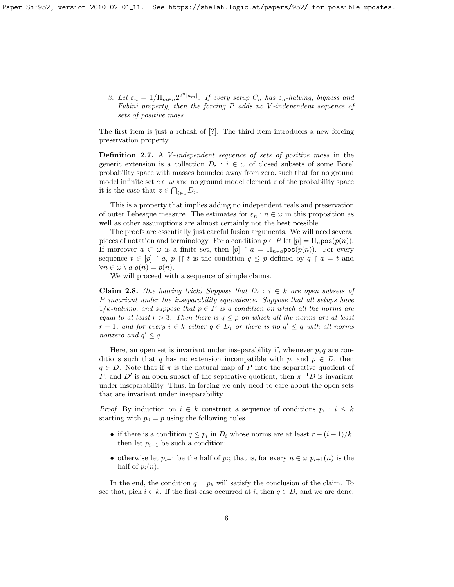3. Let  $\varepsilon_n = 1/\prod_{m \in n} 2^{2^n |a_m|}$ . If every setup  $C_n$  has  $\varepsilon_n$ -halving, bigness and Fubini property, then the forcing P adds no V -independent sequence of sets of positive mass.

The first item is just a rehash of [?]. The third item introduces a new forcing preservation property.

Definition 2.7. A V-independent sequence of sets of positive mass in the generic extension is a collection  $D_i : i \in \omega$  of closed subsets of some Borel probability space with masses bounded away from zero, such that for no ground model infinite set  $c \subset \omega$  and no ground model element z of the probability space it is the case that  $z \in \bigcap_{i \in c} D_i$ .

This is a property that implies adding no independent reals and preservation of outer Lebesgue measure. The estimates for  $\varepsilon_n : n \in \omega$  in this proposition as well as other assumptions are almost certainly not the best possible.

The proofs are essentially just careful fusion arguments. We will need several pieces of notation and terminology. For a condition  $p \in P$  let  $[p] = \prod_n \text{pos}(p(n))$ . If moreover  $a \subset \omega$  is a finite set, then  $[p] \upharpoonright a = \prod_{n \in a} \text{pos}(p(n))$ . For every sequence  $t \in [p] \restriction a, p \restriction t$  is the condition  $q \leq p$  defined by  $q \restriction a = t$  and  $\forall n \in \omega \setminus a \ q(n) = p(n).$ 

We will proceed with a sequence of simple claims.

<span id="page-5-0"></span>**Claim 2.8.** (the halving trick) Suppose that  $D_i : i \in k$  are open subsets of P invariant under the inseparability equivalence. Suppose that all setups have  $1/k$ -halving, and suppose that  $p \in P$  is a condition on which all the norms are equal to at least  $r > 3$ . Then there is  $q \leq p$  on which all the norms are at least  $r-1$ , and for every  $i \in k$  either  $q \in D_i$  or there is no  $q' \leq q$  with all norms nonzero and  $q' \leq q$ .

Here, an open set is invariant under inseparability if, whenever  $p, q$  are conditions such that q has no extension incompatible with p, and  $p \in D$ , then  $q \in D$ . Note that if  $\pi$  is the natural map of P into the separative quotient of P, and D' is an open subset of the separative quotient, then  $\pi^{-1}D$  is invariant under inseparability. Thus, in forcing we only need to care about the open sets that are invariant under inseparability.

*Proof.* By induction on  $i \in k$  construct a sequence of conditions  $p_i : i \leq k$ starting with  $p_0 = p$  using the following rules.

- if there is a condition  $q \leq p_i$  in  $D_i$  whose norms are at least  $r (i + 1)/k$ , then let  $p_{i+1}$  be such a condition;
- otherwise let  $p_{i+1}$  be the half of  $p_i$ ; that is, for every  $n \in \omega$   $p_{i+1}(n)$  is the half of  $p_i(n)$ .

In the end, the condition  $q = p_k$  will satisfy the conclusion of the claim. To see that, pick  $i \in k$ . If the first case occurred at i, then  $q \in D_i$  and we are done.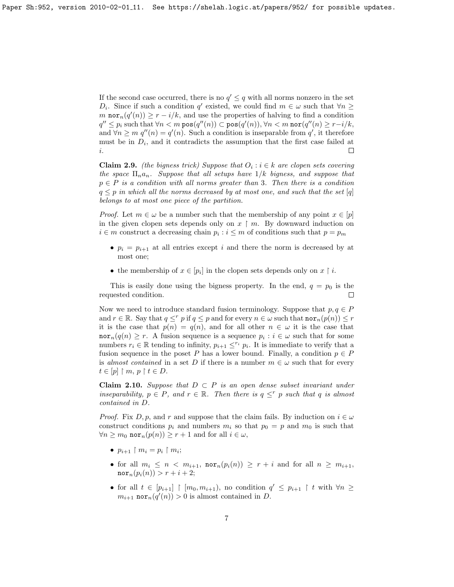If the second case occurred, there is no  $q' \leq q$  with all norms nonzero in the set D<sub>i</sub>. Since if such a condition q' existed, we could find  $m \in \omega$  such that  $\forall n \geq$ m  $\operatorname{nor}_n(q'(n)) \ge r - i/k$ , and use the properties of halving to find a condition  $q'' \leq p_i$  such that  $\forall n < m$  pos $(q''(n)) \subset \mathsf{pos}(q'(n)), \forall n < m$  nor $(q''(n) \geq r - i/k)$ , and  $\forall n \geq m$   $q''(n) = q'(n)$ . Such a condition is inseparable from  $q'$ , it therefore must be in  $D_i$ , and it contradicts the assumption that the first case failed at  $\Box$ i.

<span id="page-6-0"></span>**Claim 2.9.** (the bigness trick) Suppose that  $O_i : i \in k$  are clopen sets covering the space  $\Pi_n a_n$ . Suppose that all setups have  $1/k$  bigness, and suppose that  $p \in P$  is a condition with all norms greater than 3. Then there is a condition  $q \leq p$  in which all the norms decreased by at most one, and such that the set [q] belongs to at most one piece of the partition.

*Proof.* Let  $m \in \omega$  be a number such that the membership of any point  $x \in [p]$ in the given clopen sets depends only on  $x \restriction m$ . By downward induction on  $i \in m$  construct a decreasing chain  $p_i : i \leq m$  of conditions such that  $p = p_m$ 

- $p_i = p_{i+1}$  at all entries except i and there the norm is decreased by at most one;
- the membership of  $x \in [p_i]$  in the clopen sets depends only on  $x \restriction i$ .

This is easily done using the bigness property. In the end,  $q = p_0$  is the requested condition.  $\Box$ 

Now we need to introduce standard fusion terminology. Suppose that  $p, q \in P$ and  $r \in \mathbb{R}$ . Say that  $q \leq r$  p if  $q \leq p$  and for every  $n \in \omega$  such that  $\text{nor}_n(p(n)) \leq r$ it is the case that  $p(n) = q(n)$ , and for all other  $n \in \omega$  it is the case that  $\text{nor}_n(q(n) \geq r$ . A fusion sequence is a sequence  $p_i : i \in \omega$  such that for some numbers  $r_i \in \mathbb{R}$  tending to infinity,  $p_{i+1} \leq^{r_i} p_i$ . It is immediate to verify that a fusion sequence in the poset P has a lower bound. Finally, a condition  $p \in P$ is almost contained in a set D if there is a number  $m \in \omega$  such that for every  $t \in [p] \restriction m, p \restriction t \in D.$ 

**Claim 2.10.** Suppose that  $D \subset P$  is an open dense subset invariant under inseparability,  $p \in P$ , and  $r \in \mathbb{R}$ . Then there is  $q \leq^r p$  such that q is almost contained in D.

*Proof.* Fix D, p, and r and suppose that the claim fails. By induction on  $i \in \omega$ construct conditions  $p_i$  and numbers  $m_i$  so that  $p_0 = p$  and  $m_0$  is such that  $\forall n \geq m_0 \text{ nor}_n(p(n)) \geq r+1 \text{ and for all } i \in \omega,$ 

- $p_{i+1} \restriction m_i = p_i \restriction m_i;$
- for all  $m_i \leq n \langle m_{i+1}, \text{nor}_n(p_i(n)) \rangle \geq r+i$  and for all  $n \geq m_{i+1}$ ,  $\mathrm{nor}_{n}(p_{i}(n)) > r + i + 2;$
- for all  $t \in [p_{i+1}] \restriction [m_0, m_{i+1})$ , no condition  $q' \leq p_{i+1} \restriction t$  with  $\forall n \geq$  $m_{i+1}$  nor<sub>n</sub> $(q'(n)) > 0$  is almost contained in D.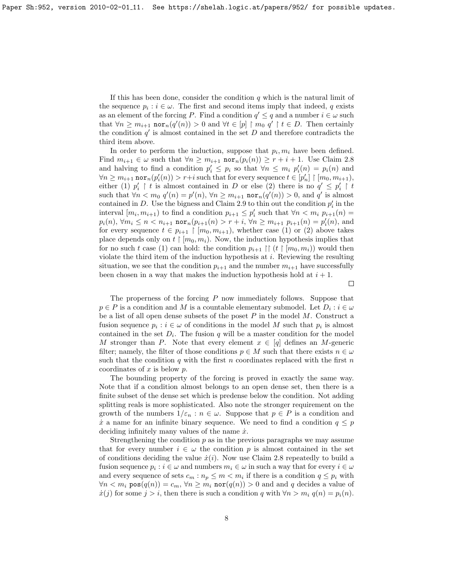If this has been done, consider the condition  $q$  which is the natural limit of the sequence  $p_i : i \in \omega$ . The first and second items imply that indeed, q exists as an element of the forcing P. Find a condition  $q' \leq q$  and a number  $i \in \omega$  such that  $\forall n \geq m_{i+1}$  nor $_n(q'(n)) > 0$  and  $\forall t \in [p] \upharpoonright m_0 q' \upharpoonright t \in D$ . Then certainly the condition  $q'$  is almost contained in the set  $D$  and therefore contradicts the third item above.

In order to perform the induction, suppose that  $p_i, m_i$  have been defined. Find  $m_{i+1} \in \omega$  such that  $\forall n \geq m_{i+1}$  nor $_n(p_i(n)) \geq r + i + 1$ . Use Claim [2.8](#page-5-0) and halving to find a condition  $p'_i \leq p_i$  so that  $\forall n \leq m_i$   $p'_i(n) = p_i(n)$  and  $\forall n \geq m_{i+1} \text{ nor}_n(p_i'(n)) > r+i \text{ such that for every sequence } t \in [p_n'] \restriction [m_0, m_{i+1}),$ either (1)  $p'_i \restriction t$  is almost contained in D or else (2) there is no  $q' \leq p'_i \restriction t$ such that  $\forall n < m_0$   $q'(n) = p'(n)$ ,  $\forall n \geq m_{i+1}$  nor $_n(q'(n)) > 0$ , and  $q'$  is almost contained in D. Use the bigness and Claim [2.9](#page-6-0) to thin out the condition  $p_i'$  in the interval  $[m_i, m_{i+1}]$  to find a condition  $p_{i+1} \leq p'_i$  such that  $\forall n \lt m_i$   $p_{i+1}(n) =$  $p_i(n)$ ,  $\forall m_i \leq n < n_{i+1}$  nor $_n(p_{i+1}(n) > r + i$ ,  $\forall n \geq m_{i+1}$   $p_{i+1}(n) = p'_i(n)$ , and for every sequence  $t \in p_{i+1} \restriction [m_0, m_{i+1}),$  whether case (1) or (2) above takes place depends only on  $t \restriction [m_0, m_i)$ . Now, the induction hypothesis implies that for no such t case (1) can hold: the condition  $p_{i+1} \restriction (t \restriction [m_0, m_i))$  would then violate the third item of the induction hypothesis at  $i$ . Reviewing the resulting situation, we see that the condition  $p_{i+1}$  and the number  $m_{i+1}$  have successfully been chosen in a way that makes the induction hypothesis hold at  $i + 1$ .

 $\Box$ 

The properness of the forcing  $P$  now immediately follows. Suppose that  $p \in P$  is a condition and M is a countable elementary submodel. Let  $D_i : i \in \omega$ be a list of all open dense subsets of the poset  $P$  in the model  $M$ . Construct a fusion sequence  $p_i : i \in \omega$  of conditions in the model M such that  $p_i$  is almost contained in the set  $D_i$ . The fusion q will be a master condition for the model M stronger than P. Note that every element  $x \in [q]$  defines an M-generic filter; namely, the filter of those conditions  $p \in M$  such that there exists  $n \in \omega$ such that the condition  $q$  with the first  $n$  coordinates replaced with the first  $n$ coordinates of  $x$  is below  $p$ .

The bounding property of the forcing is proved in exactly the same way. Note that if a condition almost belongs to an open dense set, then there is a finite subset of the dense set which is predense below the condition. Not adding splitting reals is more sophisticated. Also note the stronger requirement on the growth of the numbers  $1/\varepsilon_n : n \in \omega$ . Suppose that  $p \in P$  is a condition and x a name for an infinite binary sequence. We need to find a condition  $q \leq p$ deciding infinitely many values of the name  $\dot{x}$ .

Strengthening the condition  $p$  as in the previous paragraphs we may assume that for every number  $i \in \omega$  the condition p is almost contained in the set of conditions deciding the value  $\dot{x}(i)$ . Now use Claim [2.8](#page-5-0) repeatedly to build a fusion sequence  $p_i : i \in \omega$  and numbers  $m_i \in \omega$  in such a way that for every  $i \in \omega$ and every sequence of sets  $c_m : n_p \leq m < m_i$  if there is a condition  $q \leq p_i$  with  $\forall n \leq m_i \text{ pos}(q(n)) = c_m, \forall n \geq m_i \text{ nor}(q(n)) > 0 \text{ and and } q \text{ decides a value of }$  $\dot{x}(j)$  for some  $j > i$ , then there is such a condition q with  $\forall n > m_i$   $q(n) = p_i(n)$ .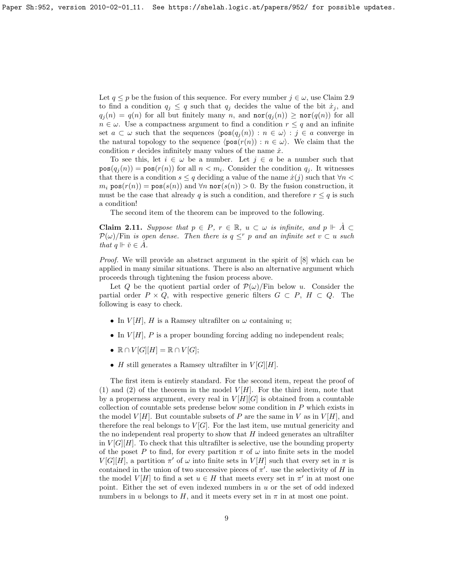Let  $q \leq p$  be the fusion of this sequence. For every number  $j \in \omega$ , use Claim [2.9](#page-6-0) to find a condition  $q_i \leq q$  such that  $q_i$  decides the value of the bit  $\dot{x}_i$ , and  $q_j(n) = q(n)$  for all but finitely many n, and  $\operatorname{nor}(q_j(n)) \geq \operatorname{nor}(q(n))$  for all  $n \in \omega$ . Use a compactness argument to find a condition  $r \leq q$  and an infinite set  $a \subset \omega$  such that the sequences  $\langle pos(q_i (n)) : n \in \omega \rangle : j \in a$  converge in the natural topology to the sequence  $\langle pos(r(n)) : n \in \omega \rangle$ . We claim that the condition r decides infinitely many values of the name  $\dot{x}$ .

To see this, let  $i \in \omega$  be a number. Let  $j \in a$  be a number such that  $pos(q_j(n)) = pos(r(n))$  for all  $n < m_i$ . Consider the condition  $q_j$ . It witnesses that there is a condition  $s \leq q$  deciding a value of the name  $\dot{x}(j)$  such that  $\forall n$  $m_i$  pos $(r(n)) = \text{pos}(s(n))$  and  $\forall n$  nor $(s(n)) > 0$ . By the fusion construction, it must be the case that already q is such a condition, and therefore  $r \leq q$  is such a condition!

The second item of the theorem can be improved to the following.

<span id="page-8-0"></span>**Claim 2.11.** Suppose that  $p \in P$ ,  $r \in \mathbb{R}$ ,  $u \subset \omega$  is infinite, and  $p \Vdash \dot{A} \subset$  $\mathcal{P}(\omega)$ /Fin is open dense. Then there is  $q \leq^r p$  and an infinite set  $v \subset u$  such that  $q \Vdash \check{v} \in \check{A}$ .

Proof. We will provide an abstract argument in the spirit of [\[8\]](#page-16-2) which can be applied in many similar situations. There is also an alternative argument which proceeds through tightening the fusion process above.

Let Q be the quotient partial order of  $\mathcal{P}(\omega)/\text{Fin}$  below u. Consider the partial order  $P \times Q$ , with respective generic filters  $G \subset P$ ,  $H \subset Q$ . The following is easy to check.

- In  $V[H]$ , H is a Ramsey ultrafilter on  $\omega$  containing u;
- In  $V[H]$ , P is a proper bounding forcing adding no independent reals;
- $\mathbb{R} \cap V[G][H] = \mathbb{R} \cap V[G];$
- H still generates a Ramsey ultrafilter in  $V[G][H]$ .

The first item is entirely standard. For the second item, repeat the proof of (1) and (2) of the theorem in the model  $V[H]$ . For the third item, note that by a properness argument, every real in  $V[H][G]$  is obtained from a countable collection of countable sets predense below some condition in P which exists in the model  $V[H]$ . But countable subsets of P are the same in V as in  $V[H]$ , and therefore the real belongs to  $V[G]$ . For the last item, use mutual genericity and the no independent real property to show that  $H$  indeed generates an ultrafilter in  $V[G][H]$ . To check that this ultrafilter is selective, use the bounding property of the poset P to find, for every partition  $\pi$  of  $\omega$  into finite sets in the model  $V[G][H]$ , a partition  $\pi'$  of  $\omega$  into finite sets in  $V[H]$  such that every set in  $\pi$  is contained in the union of two successive pieces of  $\pi'$ . use the selectivity of H in the model  $V[H]$  to find a set  $u \in H$  that meets every set in  $\pi'$  in at most one point. Either the set of even indexed numbers in u or the set of odd indexed numbers in u belongs to H, and it meets every set in  $\pi$  in at most one point.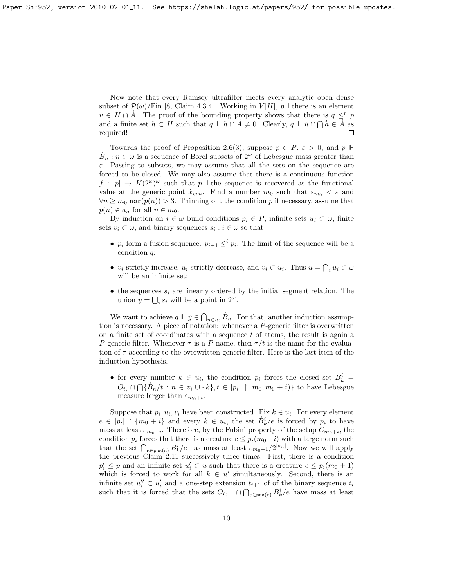Now note that every Ramsey ultrafilter meets every analytic open dense subset of  $\mathcal{P}(\omega)/\text{Fin}$  [\[8,](#page-16-2) Claim 4.3.4]. Working in  $V[H]$ ,  $p \Vdash$  there is an element  $v \in H \cap \dot{A}$ . The proof of the bounding property shows that there is  $q \leq^r p$ and a finite set  $h \subset H$  such that  $q \Vdash \overrightarrow{h \cap A} \neq 0$ . Clearly,  $q \Vdash \check{u} \cap \bigcap \check{h} \in \check{A}$  as required!

Towards the proof of Proposition [2.6\(](#page-4-0)3), suppose  $p \in P$ ,  $\varepsilon > 0$ , and  $p \Vdash$  $B_n : n \in \omega$  is a sequence of Borel subsets of  $2^{\omega}$  of Lebesgue mass greater than  $\varepsilon$ . Passing to subsets, we may assume that all the sets on the sequence are forced to be closed. We may also assume that there is a continuous function  $f : [p] \to K(2^{\omega})^{\omega}$  such that p  $\mathbb{H}$  the sequence is recovered as the functional value at the generic point  $\dot{x}_{gen}$ . Find a number  $m_0$  such that  $\varepsilon_{m_0} < \varepsilon$  and  $\forall n \geq m_0$  nor $(p(n)) > 3$ . Thinning out the condition p if necessary, assume that  $p(n) \in a_n$  for all  $n \in m_0$ .

By induction on  $i \in \omega$  build conditions  $p_i \in P$ , infinite sets  $u_i \subset \omega$ , finite sets  $v_i \subset \omega$ , and binary sequences  $s_i : i \in \omega$  so that

- $p_i$  form a fusion sequence:  $p_{i+1} \leq^i p_i$ . The limit of the sequence will be a condition q;
- $v_i$  strictly increase,  $u_i$  strictly decrease, and  $v_i \subset u_i$ . Thus  $u = \bigcap_i u_i \subset \omega$ will be an infinite set;
- the sequences  $s_i$  are linearly ordered by the initial segment relation. The union  $y = \bigcup_i s_i$  will be a point in  $2^{\omega}$ .

We want to achieve  $q \Vdash \check{y} \in \bigcap_{n \in u_i} \dot{B}_n$ . For that, another induction assumption is necessary. A piece of notation: whenever a P-generic filter is overwritten on a finite set of coordinates with a sequence  $t$  of atoms, the result is again a P-generic filter. Whenever  $\tau$  is a P-name, then  $\tau/t$  is the name for the evaluation of  $\tau$  according to the overwritten generic filter. Here is the last item of the induction hypothesis.

• for every number  $k \in u_i$ , the condition  $p_i$  forces the closed set  $\dot{B}_k^i =$  $O_{t_i} \cap \bigcap {\mathcal{B}_n}/{t : n \in v_i \cup \{k\}, t \in [p_i] \restriction [m_0, m_0 + i)\}$  to have Lebesgue measure larger than  $\varepsilon_{m_0+i}$ .

Suppose that  $p_i, u_i, v_i$  have been constructed. Fix  $k \in u_i$ . For every element  $e \in [p_i] \restriction \{m_0 + i\}$  and every  $k \in u_i$ , the set  $\dot{B}_k^i/e$  is forced by  $p_i$  to have mass at least  $\varepsilon_{m_0+i}$ . Therefore, by the Fubini property of the setup  $C_{m_0+i}$ , the condition  $p_i$  forces that there is a creature  $c \leq p_i(m_0+i)$  with a large norm such that the set  $\bigcap_{e \in \text{pos}(c)} B_k^i/e$  has mass at least  $\varepsilon_{m_0+1}/2^{|a_n|}$ . Now we will apply the previous Claim [2.11](#page-8-0) successively three times. First, there is a condition  $p'_i \leq p$  and an infinite set  $u'_i \subset u$  such that there is a creature  $c \leq p_i(m_0 + 1)$ which is forced to work for all  $k \in u'$  simultaneously. Second, there is an infinite set  $u''_i \subset u'_i$  and a one-step extension  $t_{i+1}$  of of the binary sequence  $t_i$ such that it is forced that the sets  $O_{t_{i+1}} \cap \bigcap_{e \in \text{pos}(c)} B_k^i/e$  have mass at least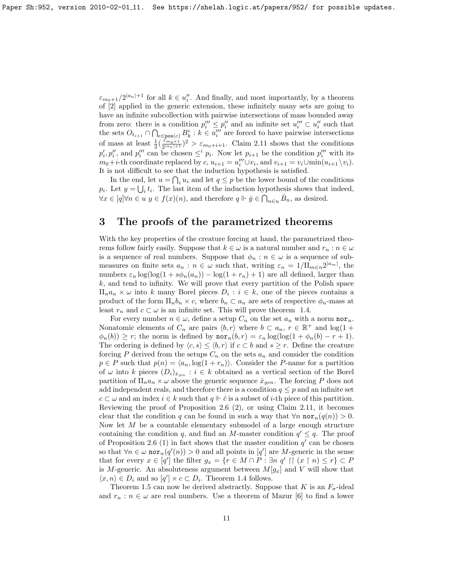$\varepsilon_{m_0+1}/2^{|a_n|+1}$  for all  $k \in u''_i$ . And finally, and most importantly, by a theorem of [\[2\]](#page-16-5) applied in the generic extension, these infinitely many sets are going to have an infinite subcollection with pairwise intersections of mass bounded away from zero: there is a condition  $p_i''' \leq p_i''$  and an infinite set  $u_i''' \subset u_i''$  such that the sets  $O_{t_{i+1}} \cap \bigcap_{e \in \text{pos}(c)} B_k^i : k \in u_i'''$  are forced to have pairwise intersections of mass at least  $\frac{1}{2}(\frac{\epsilon_{m_0+1}}{2^{|a_n|+1}})^2 > \epsilon_{m_0+i+1}$ . Claim [2.11](#page-8-0) shows that the conditions  $p'_i, p''_i$ , and  $p''_i$  can be chosen  $\leq^i p_i$ . Now let  $p_{i+1}$  be the condition  $p''_i$  with its  $m_0+i$ -th coordinate replaced by  $c, u_{i+1} = u_i''' \cup v_i$ , and  $v_{i+1} = v_i \cup \min(u_{i+1} \setminus v_i)$ . It is not difficult to see that the induction hypothesis is satisfied.

In the end, let  $u = \bigcap_i u_i$  and let  $q \leq p$  be the lower bound of the conditions  $p_i$ . Let  $y = \bigcup_i t_i$ . The last item of the induction hypothesis shows that indeed,  $\forall x \in [q] \forall n \in u \ y \in f(x)(n)$ , and therefore  $q \Vdash \check{y} \in \bigcap_{n \in u} \dot{B}_n$ , as desired.

### 3 The proofs of the parametrized theorems

With the key properties of the creature forcing at hand, the parametrized theorems follow fairly easily. Suppose that  $k \in \omega$  is a natural number and  $r_n : n \in \omega$ is a sequence of real numbers. Suppose that  $\phi_n : n \in \omega$  is a sequence of submeasures on finite sets  $a_n : n \in \omega$  such that, writing  $\varepsilon_n = 1/\prod_{m \in n} 2^{|a_m|}$ , the numbers  $\varepsilon_n \log(\log(1 + s\phi_n(a_n)) - \log(1 + r_n) + 1)$  are all defined, larger than k, and tend to infinity. We will prove that every partition of the Polish space  $\Pi_n a_n \times \omega$  into k many Borel pieces  $D_i : i \in k$ , one of the pieces contains a product of the form  $\Pi_n b_n \times c$ , where  $b_n \subset a_n$  are sets of respective  $\phi_n$ -mass at least  $r_n$  and  $c \subset \omega$  is an infinite set. This will prove theorem [1.4.](#page-1-0)

For every number  $n \in \omega$ , define a setup  $C_n$  on the set  $a_n$  with a norm nor<sub>n</sub>. Nonatomic elements of  $C_n$  are pairs  $\langle b, r \rangle$  where  $b \subset a_n, r \in \mathbb{R}^+$  and  $\log(1 +$  $\phi_n(b) \geq r$ ; the norm is defined by  $\mathrm{nor}_n(b,r) = \varepsilon_n \log(\log(1 + \phi_n(b) - r + 1)).$ The ordering is defined by  $\langle c, s \rangle \le \langle b, r \rangle$  if  $c \subset b$  and  $s \ge r$ . Define the creature forcing P derived from the setups  $C_n$  on the sets  $a_n$  and consider the condition  $p \in P$  such that  $p(n) = \langle a_n, \log(1 + r_n) \rangle$ . Consider the P-name for a partition of  $\omega$  into k pieces  $(D_i)_{x_{gen}} : i \in k$  obtained as a vertical section of the Borel partition of  $\Pi_n a_n \times \omega$  above the generic sequence  $\dot{x}_{gen}$ . The forcing P does not add independent reals, and therefore there is a condition  $q \leq p$  and an infinite set  $c \subset \omega$  and an index  $i \in k$  such that  $q \Vdash \check{c}$  is a subset of *i*-th piece of this partition. Reviewing the proof of Proposition [2.6](#page-4-0) (2), or using Claim [2.11,](#page-8-0) it becomes clear that the condition q can be found in such a way that  $\forall n \text{ nor}_n(q(n)) > 0$ . Now let M be a countable elementary submodel of a large enough structure containing the condition q, and find an M-master condition  $q' \leq q$ . The proof of Proposition [2.6](#page-4-0) (1) in fact shows that the master condition  $q'$  can be chosen so that  $\forall n \in \omega \text{ nor}_n(q'(n)) > 0$  and all points in  $[q']$  are M-generic in the sense that for every  $x \in [q']$  the filter  $g_x = \{r \in M \cap P : \exists n \; q' \mid \lceil (x \rceil n) \leq r \} \subset P$ is M-generic. An absoluteness argument between  $M[g_x]$  and V will show that  $\langle x, n \rangle \in D_i$  and so  $[q'] \times c \subset D_i$ . Theorem [1.4](#page-1-0) follows.

Theorem [1.5](#page-1-2) can now be derived abstractly. Suppose that K is an  $F_{\sigma}$ -ideal and  $r_n : n \in \omega$  are real numbers. Use a theorem of Mazur [\[6\]](#page-16-6) to find a lower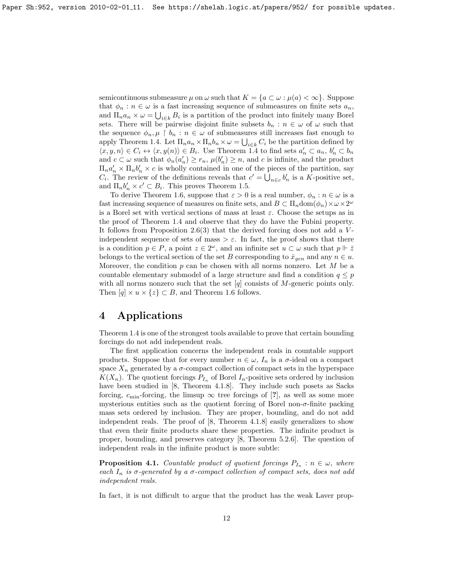semicontinuous submeasure  $\mu$  on  $\omega$  such that  $K = \{a \subset \omega : \mu(a) < \infty\}$ . Suppose that  $\phi_n : n \in \omega$  is a fast increasing sequence of submeasures on finite sets  $a_n$ , and  $\Pi_n a_n \times \omega = \bigcup_{i \in k} B_i$  is a partition of the product into finitely many Borel sets. There will be pairwise disjoint finite subsets  $b_n : n \in \omega$  of  $\omega$  such that the sequence  $\phi_n, \mu \restriction b_n : n \in \omega$  of submeasures still increases fast enough to apply Theorem [1.4.](#page-1-0) Let  $\Pi_n a_n \times \Pi_n b_n \times \omega = \bigcup_{i \in k} C_i$  be the partition defined by  $\langle x, y, n \rangle \in C_i \leftrightarrow \langle x, y(n) \rangle \in B_i$ . Use Theorem [1.4](#page-1-0) to find sets  $a'_n \subset a_n$ ,  $b'_n \subset b_n$ and  $c \subset \omega$  such that  $\phi_n(a'_n) \geq r_n$ ,  $\mu(b'_n) \geq n$ , and c is infinite, and the product  $\Pi_n a'_n \times \Pi_n b'_n \times c$  is wholly contained in one of the pieces of the partition, say  $C_i$ . The review of the definitions reveals that  $c' = \bigcup_{n \in c} b'_n$  is a K-positive set, and  $\Pi_n b'_n \times c' \subset B_i$ . This proves Theorem [1.5.](#page-1-2)

To derive Theorem [1.6,](#page-2-0) suppose that  $\varepsilon > 0$  is a real number,  $\phi_n : n \in \omega$  is a fast increasing sequence of measures on finite sets, and  $B \subset \prod_n \text{dom}(\phi_n) \times \omega \times 2^{\omega}$ is a Borel set with vertical sections of mass at least  $\varepsilon$ . Choose the setups as in the proof of Theorem [1.4](#page-1-0) and observe that they do have the Fubini property. It follows from Proposition [2.6\(](#page-4-0)3) that the derived forcing does not add a  $V$ independent sequence of sets of mass  $>\varepsilon$ . In fact, the proof shows that there is a condition  $p \in P$ , a point  $z \in 2^{\omega}$ , and an infinite set  $u \subset \omega$  such that  $p \Vdash \check{z}$ belongs to the vertical section of the set B corresponding to  $\dot{x}_{gen}$  and any  $n \in u$ . Moreover, the condition  $p$  can be chosen with all norms nonzero. Let  $M$  be a countable elementary submodel of a large structure and find a condition  $q \leq p$ with all norms nonzero such that the set  $[q]$  consists of M-generic points only. Then  $[q] \times u \times \{z\} \subset B$ , and Theorem [1.6](#page-2-0) follows.

# 4 Applications

Theorem [1.4](#page-1-0) is one of the strongest tools available to prove that certain bounding forcings do not add independent reals.

The first application concerns the independent reals in countable support products. Suppose that for every number  $n \in \omega$ ,  $I_n$  is a  $\sigma$ -ideal on a compact space  $X_n$  generated by a  $\sigma$ -compact collection of compact sets in the hyperspace  $K(X_n)$ . The quotient forcings  $P_{I_n}$  of Borel  $I_n$ -positive sets ordered by inclusion have been studied in [\[8,](#page-16-2) Theorem 4.1.8]. They include such posets as Sacks forcing,  $c_{\min}$ -forcing, the limsup  $\infty$  tree forcings of [?], as well as some more mysterious entities such as the quotient forcing of Borel non- $\sigma$ -finite packing mass sets ordered by inclusion. They are proper, bounding, and do not add independent reals. The proof of [\[8,](#page-16-2) Theorem 4.1.8] easily generalizes to show that even their finite products share these properties. The infinite product is proper, bounding, and preserves category [\[8,](#page-16-2) Theorem 5.2.6]. The question of independent reals in the infinite product is more subtle:

**Proposition 4.1.** Countable product of quotient forcings  $P_{I_n}$ :  $n \in \omega$ , where each  $I_n$  is  $\sigma$ -generated by a  $\sigma$ -compact collection of compact sets, does not add independent reals.

In fact, it is not difficult to argue that the product has the weak Laver prop-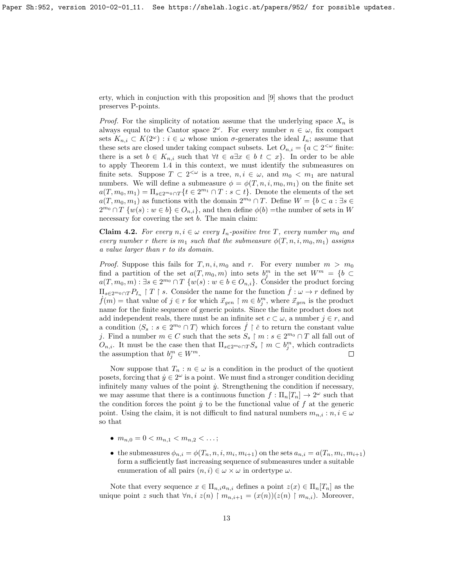erty, which in conjuction with this proposition and [\[9\]](#page-16-7) shows that the product preserves P-points.

*Proof.* For the simplicity of notation assume that the underlying space  $X_n$  is always equal to the Cantor space  $2^{\omega}$ . For every number  $n \in \omega$ , fix compact sets  $K_{n,i} \subset K(2^{\omega})$ :  $i \in \omega$  whose union  $\sigma$ -generates the ideal  $I_n$ ; assume that these sets are closed under taking compact subsets. Let  $O_{n,i} = \{a \subset 2^{\leq \omega} \text{ finite: } a \in \mathbb{R}^n : a \in \mathbb{R}^n : a \in \mathbb{R}^n : a \in \mathbb{R}^n : a \in \mathbb{R}^n : a \in \mathbb{R}^n \}$ there is a set  $b \in K_{n,i}$  such that  $\forall t \in a \exists x \in b \ t \subset x$ . In order to be able to apply Theorem [1.4](#page-1-0) in this context, we must identify the submeasures on finite sets. Suppose  $T \subset 2^{\leq \omega}$  is a tree,  $n, i \in \omega$ , and  $m_0 < m_1$  are natural numbers. We will define a submeasure  $\phi = \phi(T, n, i, m_0, m_1)$  on the finite set  $a(T, m_0, m_1) = \prod_{s \in 2^m 0} \cap T} \{t \in 2^{m_1} \cap T : s \subset t\}.$  Denote the elements of the set  $a(T, m_0, m_1)$  as functions with the domain  $2^{m_0} \cap T$ . Define  $W = \{b \subset a : \exists s \in$  $2^{m_0} \cap T$   $\{w(s) : w \in b\} \in O_{n,i}$ , and then define  $\phi(b)$  = the number of sets in W necessary for covering the set b. The main claim:

**Claim 4.2.** For every  $n, i \in \omega$  every  $I_n$ -positive tree T, every number  $m_0$  and every number r there is  $m_1$  such that the submeasure  $\phi(T, n, i, m_0, m_1)$  assigns a value larger than r to its domain.

*Proof.* Suppose this fails for  $T, n, i, m_0$  and r. For every number  $m > m_0$ find a partition of the set  $a(T, m_0, m)$  into sets  $b_j^m$  in the set  $W^m = \{b \subset$  $a(T, m_0, m) : \exists s \in 2^{m_0} \cap T \{w(s) : w \in b \in O_{n,i}\}.$  Consider the product forcing  $\Pi_{s\in 2^m\cup T}P_{I_n}\upharpoonright T\upharpoonright s$ . Consider the name for the function  $\dot{f}:\omega\to r$  defined by  $f(m) =$  that value of  $j \in r$  for which  $\vec{x}_{gen} \upharpoonright m \in b_j^m$ , where  $\vec{x}_{gen}$  is the product name for the finite sequence of generic points. Since the finite product does not add independent reals, there must be an infinite set  $c \subset \omega$ , a number  $j \in r$ , and a condition  $\langle S_s : s \in 2^{m_0} \cap T \rangle$  which forces  $\dot{f} \restriction \check{c}$  to return the constant value j. Find a number  $m \in C$  such that the sets  $S_s \restriction m : s \in 2^{m_0} \cap T$  all fall out of  $O_{n,i}$ . It must be the case then that  $\Pi_{s \in 2^m 0} \cap T} S_s \restriction m \subset b_j^m$ , which contradicts the assumption that  $b_j^m \in W^m$ .  $\Box$ 

Now suppose that  $T_n : n \in \omega$  is a condition in the product of the quotient posets, forcing that  $\dot{y} \in 2^{\omega}$  is a point. We must find a stronger condition deciding infinitely many values of the point  $\dot{y}$ . Strengthening the condition if necessary, we may assume that there is a continuous function  $f: \Pi_n[T_n] \to 2^{\omega}$  such that the condition forces the point  $\dot{y}$  to be the functional value of  $f$  at the generic point. Using the claim, it is not difficult to find natural numbers  $m_{n,i}: n, i \in \omega$ so that

- $m_{n,0} = 0 < m_{n,1} < m_{n,2} < \ldots;$
- the submeasures  $\phi_{n,i} = \phi(T_n, n, i, m_i, m_{i+1})$  on the sets  $a_{n,i} = a(T_n, m_i, m_{i+1})$ form a sufficiently fast increasing sequence of submeasures under a suitable enumeration of all pairs  $(n, i) \in \omega \times \omega$  in ordertype  $\omega$ .

Note that every sequence  $x \in \Pi_{n,i} a_{n,i}$  defines a point  $z(x) \in \Pi_n[T_n]$  as the unique point z such that  $\forall n, i \ z(n) \upharpoonright m_{n,i+1} = (x(n))(z(n) \upharpoonright m_{n,i}).$  Moreover,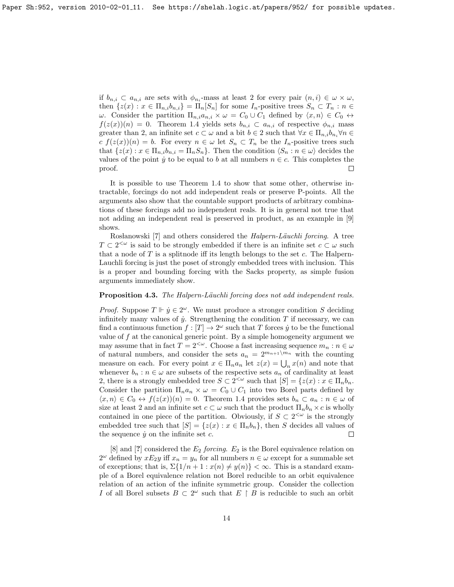if  $b_{n,i} \subset a_{n,i}$  are sets with  $\phi_{n,i}$ -mass at least 2 for every pair  $(n,i) \in \omega \times \omega$ , then  $\{z(x): x \in \Pi_{n,i} b_{n,i}\} = \Pi_n[S_n]$  for some  $I_n$ -positive trees  $S_n \subset T_n : n \in$ ω. Consider the partition  $\Pi_{n,i}a_{n,i} \times ω = C_0 ∪ C_1$  defined by  $\langle x, n \rangle \in C_0$  ↔  $f(z(x))(n) = 0$ . Theorem [1.4](#page-1-0) yields sets  $b_{n,i} \subset a_{n,i}$  of respective  $\phi_{n,i}$  mass greater than 2, an infinite set  $c \subset \omega$  and a bit  $b \in 2$  such that  $\forall x \in \Pi_{n,i} b_{n,i} \forall n \in$  $c f(z(x))(n) = b$ . For every  $n \in \omega$  let  $S_n \subset T_n$  be the  $I_n$ -positive trees such that  $\{z(x): x \in \Pi_{n,i} b_{n,i} = \Pi_n S_n\}$ . Then the condition  $\langle S_n : n \in \omega \rangle$  decides the values of the point  $\dot{y}$  to be equal to b at all numbers  $n \in c$ . This completes the proof.  $\Box$ 

It is possible to use Theorem [1.4](#page-1-0) to show that some other, otherwise intractable, forcings do not add independent reals or preserve P-points. All the arguments also show that the countable support products of arbitrary combinations of these forcings add no independent reals. It is in general not true that not adding an independent real is preserved in product, as an example in [\[9\]](#page-16-7) shows.

Rosłanowski [\[7\]](#page-16-8) and others considered the *Halpern-Läuchli forcing*. A tree  $T \subset 2^{\leq \omega}$  is said to be strongly embedded if there is an infinite set  $c \subset \omega$  such that a node of  $T$  is a splitnode iff its length belongs to the set  $c$ . The Halpern-Lauchli forcing is just the poset of strongly embedded trees with inclusion. This is a proper and bounding forcing with the Sacks property, as simple fusion arguments immediately show.

### **Proposition 4.3.** The Halpern-Läuchli forcing does not add independent reals.

*Proof.* Suppose  $T \Vdash \dot{y} \in 2^{\omega}$ . We must produce a stronger condition S deciding infinitely many values of  $\dot{y}$ . Strengthening the condition  $T$  if necessary, we can find a continuous function  $f : [T] \to 2^{\omega}$  such that T forces  $\dot{y}$  to be the functional value of  $f$  at the canonical generic point. By a simple homogeneity argument we may assume that in fact  $T = 2^{<\omega}$ . Choose a fast increasing sequence  $m_n : n \in \omega$ of natural numbers, and consider the sets  $a_n = 2^{m_{n+1}}{m_n}$  with the counting measure on each. For every point  $x \in \Pi_n a_n$  let  $z(x) = \bigcup_n x(n)$  and note that whenever  $b_n : n \in \omega$  are subsets of the respective sets  $a_n$  of cardinality at least 2, there is a strongly embedded tree  $S \subset 2^{\lt \omega}$  such that  $[S] = \{z(x) : x \in \Pi_n b_n\}$ . Consider the partition  $\Pi_n a_n \times \omega = C_0 \cup C_1$  into two Borel parts defined by  $\langle x, n \rangle \in C_0 \leftrightarrow f(z(x))(n) = 0$ . Theorem [1.4](#page-1-0) provides sets  $b_n \subset a_n : n \in \omega$  of size at least 2 and an infinite set  $c \subset \omega$  such that the product  $\Pi_n b_n \times c$  is wholly contained in one piece of the partition. Obviously, if  $S \subset 2^{\lt \omega}$  is the strongly embedded tree such that  $[S] = \{z(x) : x \in \Pi_n b_n\}$ , then S decides all values of the sequence  $\dot{y}$  on the infinite set c.  $\Box$ 

[\[8\]](#page-16-2) and [?] considered the  $E_2$  forcing.  $E_2$  is the Borel equivalence relation on  $2^{\omega}$  defined by  $xE_2y$  iff  $x_n = y_n$  for all numbers  $n \in \omega$  except for a summable set of exceptions; that is,  $\Sigma\{1/n + 1 : x(n) \neq y(n)\} < \infty$ . This is a standard example of a Borel equivalence relation not Borel reducible to an orbit equivalence relation of an action of the infinite symmetric group. Consider the collection I of all Borel subsets  $B \subset 2^{\omega}$  such that  $E \restriction B$  is reducible to such an orbit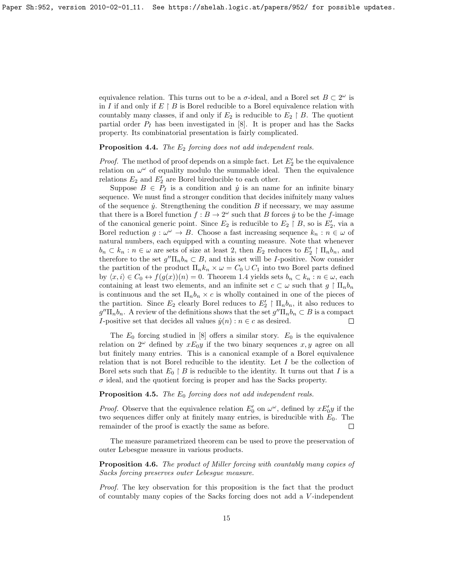equivalence relation. This turns out to be a  $\sigma$ -ideal, and a Borel set  $B \subset 2^{\omega}$  is in I if and only if  $E \restriction B$  is Borel reducible to a Borel equivalence relation with countably many classes, if and only if  $E_2$  is reducible to  $E_2 \restriction B$ . The quotient partial order  $P_I$  has been investigated in [\[8\]](#page-16-2). It is proper and has the Sacks property. Its combinatorial presentation is fairly complicated.

### **Proposition 4.4.** The  $E_2$  forcing does not add independent reals.

*Proof.* The method of proof depends on a simple fact. Let  $E_2'$  be the equivalence relation on  $\omega^{\omega}$  of equality modulo the summable ideal. Then the equivalence relations  $E_2$  and  $E'_2$  are Borel bireducible to each other.

Suppose  $B \in P_I$  is a condition and  $\dot{y}$  is an name for an infinite binary sequence. We must find a stronger condition that decides inifnitely many values of the sequence  $\dot{y}$ . Strengthening the condition B if necessary, we may assume that there is a Borel function  $f : B \to 2^{\omega}$  such that B forces  $\dot{y}$  to be the f-image of the canonical generic point. Since  $E_2$  is reducible to  $E_2 \restriction B$ , so is  $E_2'$ , via a Borel reduction  $g: \omega^{\omega} \to B$ . Choose a fast increasing sequence  $k_n : n \in \omega$  of natural numbers, each equipped with a counting measure. Note that whenever  $b_n \subset k_n : n \in \omega$  are sets of size at least 2, then  $E_2$  reduces to  $E'_2 \restriction \Pi_n b_n$ , and therefore to the set  $g''\Pi_nb_n \subset B$ , and this set will be *I*-positive. Now consider the partition of the product  $\Pi_n k_n \times \omega = C_0 \cup C_1$  into two Borel parts defined by  $\langle x, i \rangle \in C_0 \leftrightarrow f(g(x))(n) = 0$ . Theorem [1.4](#page-1-0) yields sets  $b_n \subset k_n : n \in \omega$ , each containing at least two elements, and an infinite set  $c \subset \omega$  such that  $g \restriction \Pi_n b_n$ is continuous and the set  $\Pi_n b_n \times c$  is wholly contained in one of the pieces of the partition. Since  $E_2$  clearly Borel reduces to  $E'_2 \restriction \Pi_n b_n$ , it also reduces to  $g''\Pi_nb_n$ . A review of the definitions shows that the set  $g''\Pi_nb_n \subset B$  is a compact I-positive set that decides all values  $\dot{y}(n) : n \in \mathbb{C}$  as desired.  $\Box$ 

The  $E_0$  forcing studied in [\[8\]](#page-16-2) offers a similar story.  $E_0$  is the equivalence relation on  $2^{\omega}$  defined by  $xE_0y$  if the two binary sequences  $x, y$  agree on all but finitely many entries. This is a canonical example of a Borel equivalence relation that is not Borel reducible to the identity. Let I be the collection of Borel sets such that  $E_0 \upharpoonright B$  is reducible to the identity. It turns out that I is a  $\sigma$  ideal, and the quotient forcing is proper and has the Sacks property.

### **Proposition 4.5.** The  $E_0$  forcing does not add independent reals.

*Proof.* Observe that the equivalence relation  $E'_0$  on  $\omega^{\omega}$ , defined by  $xE'_0y$  if the two sequences differ only at finitely many entries, is bireducible with  $E_0$ . The remainder of the proof is exactly the same as before.  $\Box$ 

The measure parametrized theorem can be used to prove the preservation of outer Lebesgue measure in various products.

Proposition 4.6. The product of Miller forcing with countably many copies of Sacks forcing preserves outer Lebesgue measure.

Proof. The key observation for this proposition is the fact that the product of countably many copies of the Sacks forcing does not add a V -independent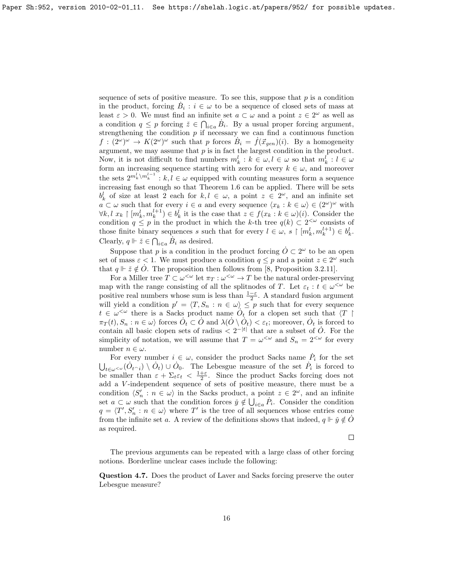sequence of sets of positive measure. To see this, suppose that  $p$  is a condition in the product, forcing  $\dot{B}_i : i \in \omega$  to be a sequence of closed sets of mass at least  $\varepsilon > 0$ . We must find an infinite set  $a \subset \omega$  and a point  $z \in 2^{\omega}$  as well as a condition  $q \leq p$  forcing  $\check{z} \in \bigcap_{i \in a} \dot{B}_i$ . By a usual proper forcing argument, strengthening the condition  $p$  if necessary we can find a continuous function  $f : (2^{\omega})^{\omega} \to K(2^{\omega})^{\omega}$  such that p forces  $B_i = \dot{f}(\vec{x}_{gen})(i)$ . By a homogeneity argument, we may assume that  $p$  is in fact the largest condition in the product. Now, it is not difficult to find numbers  $m_k^l : k \in \omega, l \in \omega$  so that  $m_k^l : l \in \omega$ form an increasing sequence starting with zero for every  $k \in \omega$ , and moreover the sets  $2^{m_k^l \setminus m_k^{l-1}}$ :  $k, l \in \omega$  equipped with counting measures form a sequence increasing fast enough so that Theorem [1.6](#page-2-0) can be applied. There will be sets  $b_k^l$  of size at least 2 each for  $k, l \in \omega$ , a point  $z \in 2^{\omega}$ , and an infinite set  $a \subset \omega$  such that for every  $i \in a$  and every sequence  $\langle x_k : k \in \omega \rangle \in (2^{\omega})^{\omega}$  with  $\forall k, l \ x_k \upharpoonright [m_k^l, m_k^{l+1}) \in b_k^l$  it is the case that  $z \in f(x_k : k \in \omega)(i)$ . Consider the condition  $q \leq p$  in the product in which the k-th tree  $q(k) \subset 2^{<\omega}$  consists of those finite binary sequences s such that for every  $l \in \omega, s \restriction [m_k^l, m_k^{l+1}) \in b_k^l$ . Clearly,  $q \Vdash \check{z} \in \bigcap_{i \in a} \dot{B}_i$  as desired.

Suppose that p is a condition in the product forcing  $\dot{O} \subset 2^{\omega}$  to be an open set of mass  $\varepsilon < 1$ . We must produce a condition  $q \leq p$  and a point  $z \in 2^{\omega}$  such that  $q \Vdash \check{z} \notin \dot{O}$ . The proposition then follows from [\[8,](#page-16-2) Proposition 3.2.11].

For a Miller tree  $T \subset \omega^{\leq \omega}$  let  $\pi_T : \omega^{\leq \omega} \to T$  be the natural order-preserving map with the range consisting of all the splitnodes of T. Let  $\varepsilon_t : t \in \omega^{\leq \omega}$  be positive real numbers whose sum is less than  $\frac{1-\varepsilon}{2}$ . A standard fusion argument will yield a condition  $p' = \langle T, S_n : n \in \omega \rangle \leq p$  such that for every sequence  $t \in \omega^{\leq \omega}$  there is a Sacks product name  $O_t$  for a clopen set such that  $\langle T \rangle$  $\pi_T(t), S_n : n \in \omega$  forces  $\dot{O}_t \subset \dot{O}$  and  $\lambda(\dot{O} \setminus \dot{O}_t) < \varepsilon_t$ ; moreover,  $\dot{O}_t$  is forced to contain all basic clopen sets of radius  $\langle 2^{-|t|} \rangle$  that are a subset of  $\dot{O}$ . For the simplicity of notation, we will assume that  $T = \omega^{\langle \omega \rangle}$  and  $S_n = 2^{\langle \omega \rangle}$  for every number  $n \in \omega$ .

For every number  $i \in \omega$ , consider the product Sacks name  $P_i$  for the set  $\bigcup_{t\in\omega\leq\omega}(\dot{O}_{t\cap i})\setminus\dot{O}_t)\cup\dot{O}_0$ . The Lebesgue measure of the set  $\dot{P}_i$  is forced to be smaller than  $\varepsilon + \sum_{t \in \mathcal{E}} \epsilon_t < \frac{1+\varepsilon}{2}$ . Since the product Sacks forcing does not add a V -independent sequence of sets of positive measure, there must be a condition  $\langle S'_n : n \in \omega \rangle$  in the Sacks product, a point  $z \in 2^{\omega}$ , and an infinite set  $a \subset \omega$  such that the condition forces  $\check{y} \notin \bigcup_{i \in a} P_i$ . Consider the condition  $q = \langle T', S'_n : n \in \omega \rangle$  where T' is the tree of all sequences whose entries come from the infinite set a. A review of the definitions shows that indeed,  $q \Vdash \check{y} \notin \hat{O}$ as required.

 $\Box$ 

The previous arguments can be repeated with a large class of other forcing notions. Borderline unclear cases include the following:

Question 4.7. Does the product of Laver and Sacks forcing preserve the outer Lebesgue measure?